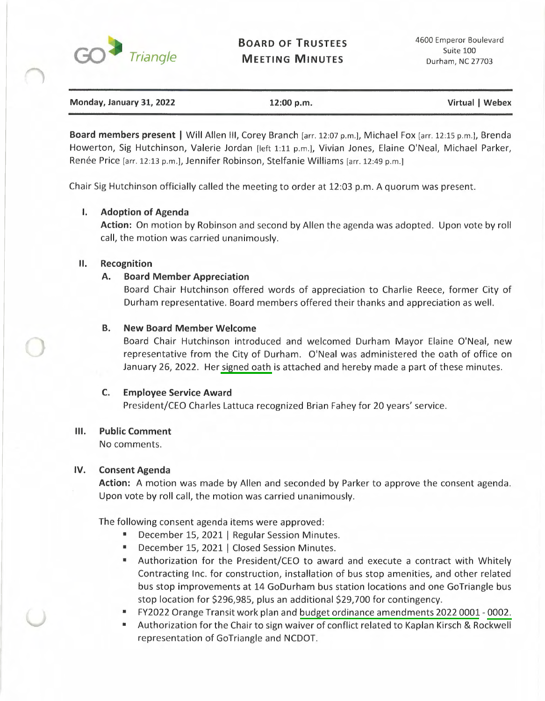

| Monday, January 31, 2022 | 12:00 p.m. | Virtual   Webex |
|--------------------------|------------|-----------------|
|                          |            |                 |

**Board members present** I Will Allen Ill, Corey Branch (arr. 12:07 p.m.l, Michael Fox [arr. 12:15 p.m.l, Brenda Howerton, Sig Hutchinson, Valerie Jordan (left 1:11 p.m.l, Vivian Jones, Elaine O'Neal, Michael Parker, Renée Price [arr. 12:13 p.m.], Jennifer Robinson, Stelfanie Williams [arr. 12:49 p.m.]

Chair Sig Hutchinson officially called the meeting to order at 12:03 p.m. A quorum was present.

# I. **Adoption of Agenda**

**Action:** On motion by Robinson and second by Allen the agenda was adopted. Upon vote by roll call, the motion was carried unanimously.

## II. **Recognition**

# **A. Board Member Appreciation**

Board Chair Hutchinson offered words of appreciation to Charlie Reece, former City of Durham representative. Board members offered their thanks and appreciation as well.

# **B. New Board Member Welcome**

Board Chair Hutchinson introduced and welcomed Durham Mayor Elaine O'Neal, new representative from the City of Durham. O'Neal was administered the oath of office on January 26, 2022. Her signed oath is attached and hereby made a part of these minutes.

## **C. Employee Service Award**

President/CEO Charles Lattuca recognized Brian Fahey for 20 years' service.

## Ill. **Public Comment**

No comments.

## **IV. Consent Agenda**

**Action:** A motion was made by Allen and seconded by Parker to approve the consent agenda. Upon vote by roll call, the motion was carried unanimously.

The following consent agenda items were approved:

- **December 15, 2021 | Regular Session Minutes.**
- December 15, 2021 I Closed Session Minutes.
- Authorization for the President/CEO to award and execute a contract with Whitely Contracting Inc. for construction, installation of bus stop amenities, and other related bus stop improvements at 14 GoDurham bus station locations and one GoTriangle bus stop location for \$296,985, plus an additional \$29,700 for contingency.
- FY2022 Orange Transit work plan and budget ordinance amendments 2022 0001- 0002.
- Authorization for the Chair to sign waiver of conflict related to Kaplan Kirsch & Rockwell representation of GoTriangle and NCDOT.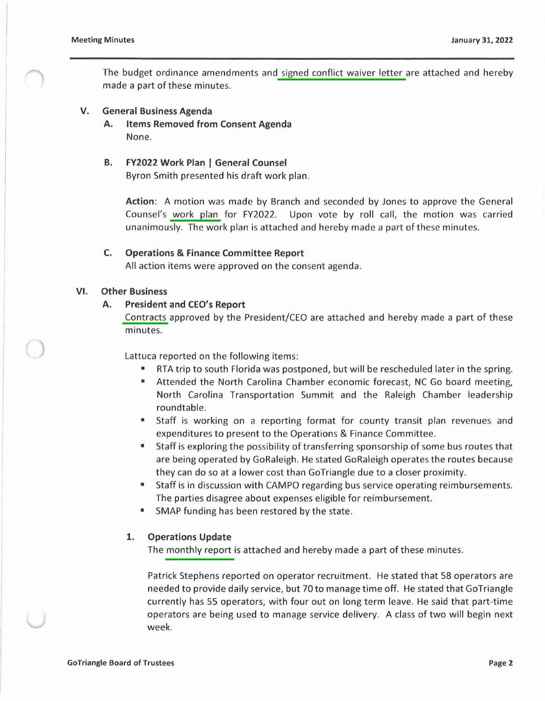The budget ordinance amendments and signed conflict waiver letter are attached and hereby made a part of these minutes.

#### **V. General Business Agenda**

- **A. Items Removed from Consent Agenda**  None.
- **B. FY2022 Work Plan** I **General Counsel**

Byron Smith presented his draft work plan.

**Action:** A motion was made by Branch and seconded by Jones to approve the General Counsel's work plan for FY2022. Upon vote by roll call, the motion was carried unanimously. The work plan is attached and hereby made a part of these minutes.

#### **C. Operations** & **Finance Committee Report**

All action items were approved on the consent agenda.

#### **VI. Other Business**

## **A. President and CEO's Report**

Contracts approved by the President/CEO are attached and hereby made a part of these minutes.

Lattuca reported on the following items:

- RTA trip to south Florida was postponed, but will be rescheduled later in the spring.
- Attended the North Carolina Chamber economic forecast, NC Go board meeting, North Carolina Transportation Summit and the Raleigh Chamber leadership roundtable.
- Staff is working on a reporting format for county transit plan revenues and expenditures to present to the Operations & Finance Committee.
- Staff is exploring the possibility of transferring sponsorship of some bus routes that are being operated by GoRaleigh. He stated GoRaleigh operates the routes because they can do so at a lower cost than GoTriangle due to a closer proximity.
- Staff is in discussion with CAMPO regarding bus service operating reimbursements. The parties disagree about expenses eligible for reimbursement.
- SMAP funding has been restored by the state.

## **1. Operations Update**

The monthly report is attached and hereby made a part of these minutes.

Patrick Stephens reported on operator recruitment. He stated that 58 operators are needed to provide daily service, but 70 to manage time off. He stated that GoTriangle currently has 55 operators, with four out on long term leave. He said that part-time operators are being used to manage service delivery. A class of two will begin next week.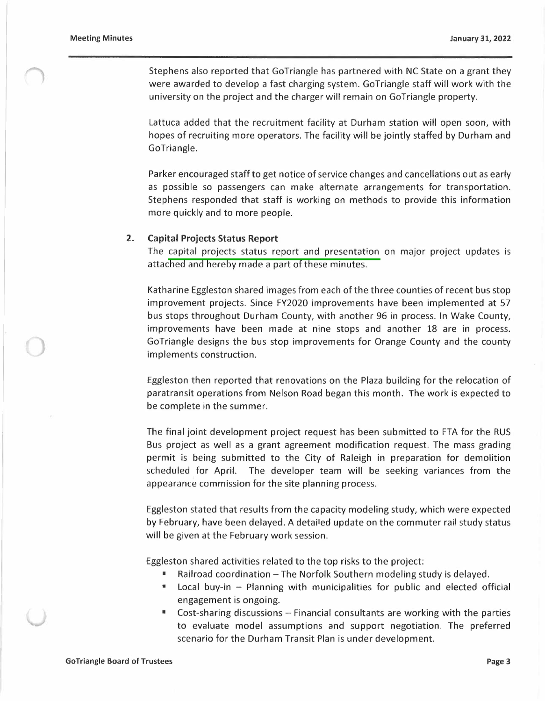Stephens also reported that GoTriangle has partnered with NC State on a grant they were awarded to develop a fast charging system. GoTriangle staff will work with the university on the project and the charger will remain on GoTriangle property.

Lattuca added that the recruitment facility at Durham station will open soon, with hopes of recruiting more operators. The facility will be jointly staffed by Durham and GoTriangle.

Parker encouraged staff to get notice of service changes and cancellations out as early as possible so passengers can make alternate arrangements for transportation. Stephens responded that staff is working on methods to provide this information more quickly and to more people.

#### **2. Capital Projects Status Report**

The capital projects status report and presentation on major project updates is attached and hereby made a part of these minutes.

Katharine Eggleston shared images from each of the three counties of recent bus stop improvement projects. Since FY2020 improvements have been implemented at 57 bus stops throughout Durham County, with another 96 in process. In Wake County, improvements have been made at nine stops and another 18 are in process. GoTriangle designs the bus stop improvements for Orange County and the county implements construction.

Eggleston then reported that renovations on the Plaza building for the relocation of paratransit operations from Nelson Road began this month. The work is expected to be complete in the summer.

The final joint development project request has been submitted to FTA for the RUS Bus project as well as a grant agreement modification request. The mass grading permit is being submitted to the City of Raleigh in preparation for demolition scheduled for April. The developer team will be seeking variances from the appearance commission for the site planning process.

Eggleston stated that results from the capacity modeling study, which were expected by February, have been delayed. A detailed update on the commuter rail study status will be given at the February work session.

Eggleston shared activities related to the top risks to the project:

- Railroad coordination  $-$  The Norfolk Southern modeling study is delayed.
- Local buy-in Planning with municipalities for public and elected official engagement is ongoing.
- $Cost\text{-}sharing \, discussions Financial \,constants$  around are working with the parties to evaluate model assumptions and support negotiation. The preferred scenario for the Durham Transit Plan is under development.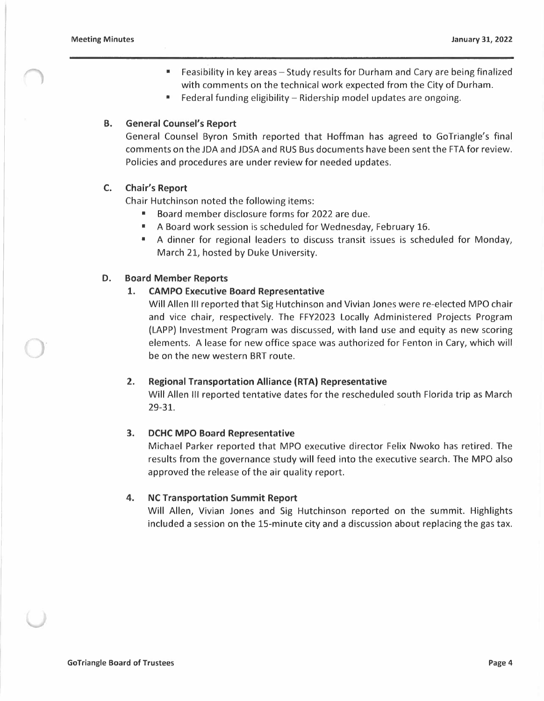- Feasibility in key areas Study results for Durham and Cary are being finalized with comments on the technical work expected from the City of Durham.
- Federal funding eligibility Ridership model updates are ongoing.

## **B. General Counsel's Report**

General Counsel Byron Smith reported that Hoffman has agreed to GoTriangle's final comments on the JDA and JDSA and RUS Bus documents have been sent the FTA for review. Policies and procedures are under review for needed updates.

## **C. Chair's Report**

Chair Hutchinson noted the following items:

- Board member disclosure forms for 2022 are due.
- A Board work session is scheduled for Wednesday, February 16.
- A dinner for regional leaders to discuss transit issues is scheduled for Monday, March 21, hosted by Duke University.

#### **D. Board Member Reports**

# **1. CAMPO Executive Board Representative**

Will Allen Ill reported that Sig Hutchinson and Vivian Jones were re-elected MPO chair and vice chair, respectively. The FFY2023 Locally Administered Projects Program (LAPP) Investment Program was discussed, with land use and equity as new scoring elements. A lease for new office space was authorized for Fenton in Cary, which will be on the new western BRT route.

#### **2. Regional Transportation Alliance {RTA) Representative**

Will Allen Ill reported tentative dates for the rescheduled south Florida trip as March 29-31.

#### **3. DCHC MPO Board Representative**

Michael Parker reported that MPO executive director Felix Nwoko has retired. The results from the governance study will feed into the executive search. The MPO also approved the release of the air quality report.

#### **4. NC Transportation Summit Report**

Will Allen, Vivian Jones and Sig Hutchinson reported on the summit. Highlights included a session on the 15-minute city and a discussion about replacing the gas tax.